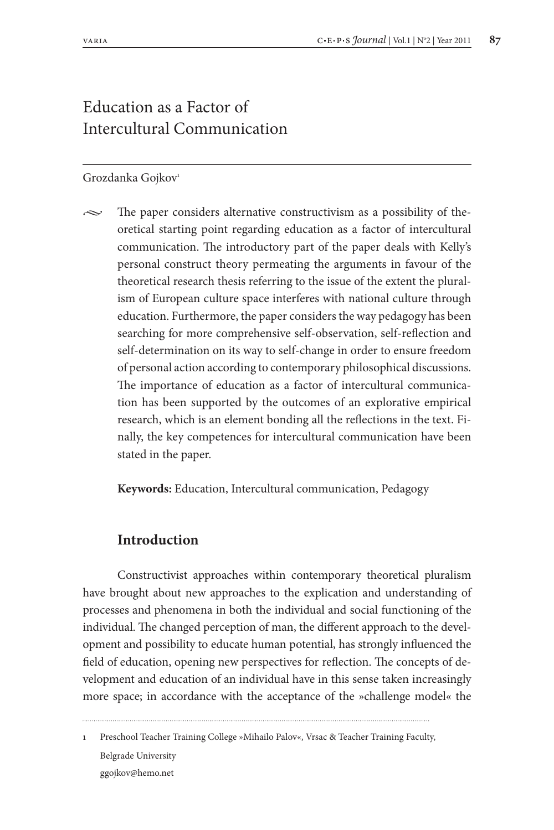# Education as a Factor of Intercultural Communication

## Grozdanka Gojkov<sup>1</sup>

The paper considers alternative constructivism as a possibility of theoretical starting point regarding education as a factor of intercultural communication. The introductory part of the paper deals with Kelly's personal construct theory permeating the arguments in favour of the theoretical research thesis referring to the issue of the extent the pluralism of European culture space interferes with national culture through education. Furthermore, the paper considers the way pedagogy has been searching for more comprehensive self-observation, self-reflection and self-determination on its way to self-change in order to ensure freedom of personal action according to contemporary philosophical discussions. The importance of education as a factor of intercultural communication has been supported by the outcomes of an explorative empirical research, which is an element bonding all the reflections in the text. Finally, the key competences for intercultural communication have been stated in the paper.

**Keywords:** Education, Intercultural communication, Pedagogy

## **Introduction**

Constructivist approaches within contemporary theoretical pluralism have brought about new approaches to the explication and understanding of processes and phenomena in both the individual and social functioning of the individual. The changed perception of man, the different approach to the development and possibility to educate human potential, has strongly influenced the field of education, opening new perspectives for reflection. The concepts of development and education of an individual have in this sense taken increasingly more space; in accordance with the acceptance of the »challenge model« the

1 Preschool Teacher Training College »Mihailo Palov«, Vrsac & Teacher Training Faculty, Belgrade University ggojkov@hemo.net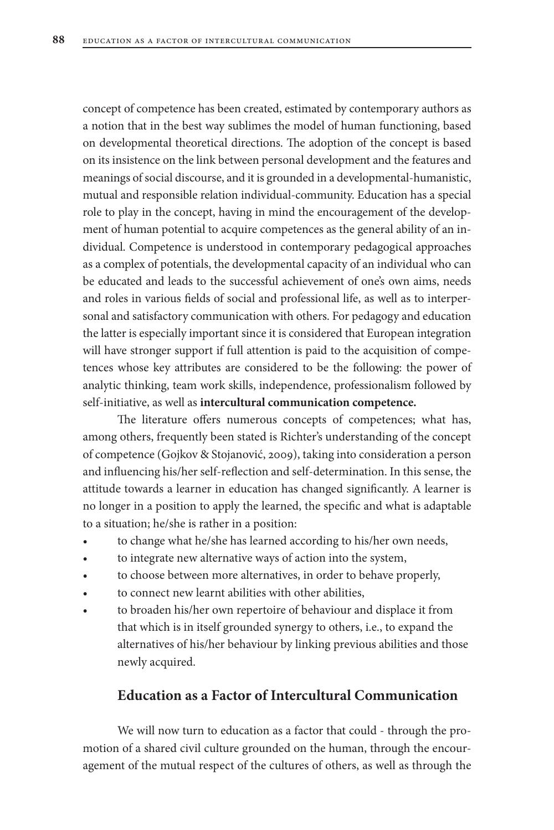concept of competence has been created, estimated by contemporary authors as a notion that in the best way sublimes the model of human functioning, based on developmental theoretical directions. The adoption of the concept is based on its insistence on the link between personal development and the features and meanings of social discourse, and it is grounded in a developmental-humanistic, mutual and responsible relation individual-community. Education has a special role to play in the concept, having in mind the encouragement of the development of human potential to acquire competences as the general ability of an individual. Competence is understood in contemporary pedagogical approaches as a complex of potentials, the developmental capacity of an individual who can be educated and leads to the successful achievement of one's own aims, needs and roles in various fields of social and professional life, as well as to interpersonal and satisfactory communication with others. For pedagogy and education the latter is especially important since it is considered that European integration will have stronger support if full attention is paid to the acquisition of competences whose key attributes are considered to be the following: the power of analytic thinking, team work skills, independence, professionalism followed by self-initiative, as well as **intercultural communication competence.**

The literature offers numerous concepts of competences; what has, among others, frequently been stated is Richter's understanding of the concept of competence (Gojkov & Stojanović, 2009), taking into consideration a person and influencing his/her self-reflection and self-determination. In this sense, the attitude towards a learner in education has changed significantly. A learner is no longer in a position to apply the learned, the specific and what is adaptable to a situation; he/she is rather in a position:

- to change what he/she has learned according to his/her own needs,
- to integrate new alternative ways of action into the system,
- to choose between more alternatives, in order to behave properly,
- to connect new learnt abilities with other abilities,
- to broaden his/her own repertoire of behaviour and displace it from that which is in itself grounded synergy to others, i.e., to expand the alternatives of his/her behaviour by linking previous abilities and those newly acquired.

# **Education as a Factor of Intercultural Communication**

We will now turn to education as a factor that could - through the promotion of a shared civil culture grounded on the human, through the encouragement of the mutual respect of the cultures of others, as well as through the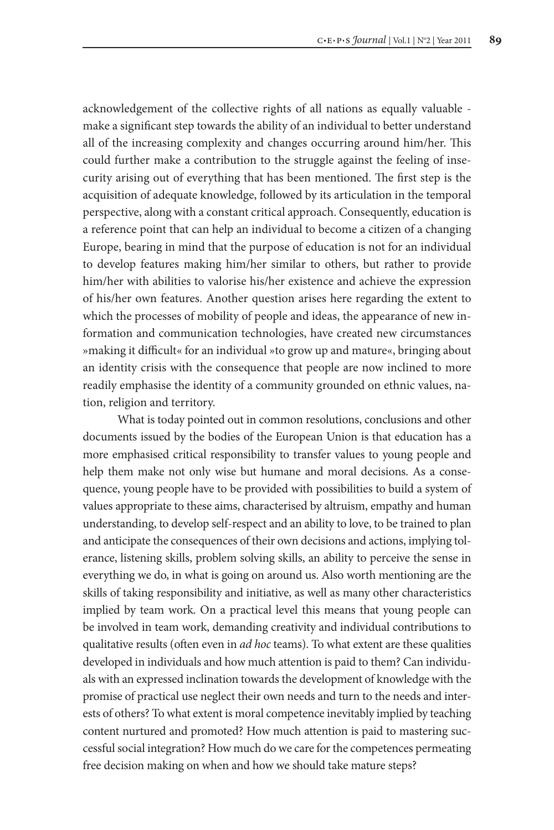acknowledgement of the collective rights of all nations as equally valuable make a significant step towards the ability of an individual to better understand all of the increasing complexity and changes occurring around him/her. This could further make a contribution to the struggle against the feeling of insecurity arising out of everything that has been mentioned. The first step is the acquisition of adequate knowledge, followed by its articulation in the temporal perspective, along with a constant critical approach. Consequently, education is a reference point that can help an individual to become a citizen of a changing Europe, bearing in mind that the purpose of education is not for an individual to develop features making him/her similar to others, but rather to provide him/her with abilities to valorise his/her existence and achieve the expression of his/her own features. Another question arises here regarding the extent to which the processes of mobility of people and ideas, the appearance of new information and communication technologies, have created new circumstances »making it difficult« for an individual »to grow up and mature«, bringing about an identity crisis with the consequence that people are now inclined to more readily emphasise the identity of a community grounded on ethnic values, nation, religion and territory.

What is today pointed out in common resolutions, conclusions and other documents issued by the bodies of the European Union is that education has a more emphasised critical responsibility to transfer values to young people and help them make not only wise but humane and moral decisions. As a consequence, young people have to be provided with possibilities to build a system of values appropriate to these aims, characterised by altruism, empathy and human understanding, to develop self-respect and an ability to love, to be trained to plan and anticipate the consequences of their own decisions and actions, implying tolerance, listening skills, problem solving skills, an ability to perceive the sense in everything we do, in what is going on around us. Also worth mentioning are the skills of taking responsibility and initiative, as well as many other characteristics implied by team work. On a practical level this means that young people can be involved in team work, demanding creativity and individual contributions to qualitative results (often even in *ad hoc* teams). To what extent are these qualities developed in individuals and how much attention is paid to them? Can individuals with an expressed inclination towards the development of knowledge with the promise of practical use neglect their own needs and turn to the needs and interests of others? To what extent is moral competence inevitably implied by teaching content nurtured and promoted? How much attention is paid to mastering successful social integration? How much do we care for the competences permeating free decision making on when and how we should take mature steps?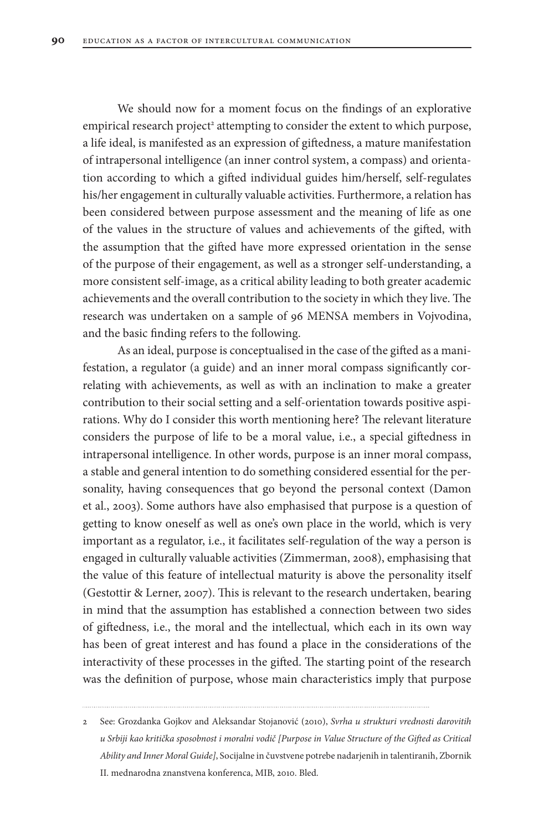We should now for a moment focus on the findings of an explorative empirical research project<sup>2</sup> attempting to consider the extent to which purpose, a life ideal, is manifested as an expression of giftedness, a mature manifestation of intrapersonal intelligence (an inner control system, a compass) and orientation according to which a gifted individual guides him/herself, self-regulates his/her engagement in culturally valuable activities. Furthermore, a relation has been considered between purpose assessment and the meaning of life as one of the values in the structure of values and achievements of the gifted, with the assumption that the gifted have more expressed orientation in the sense of the purpose of their engagement, as well as a stronger self-understanding, a more consistent self-image, as a critical ability leading to both greater academic achievements and the overall contribution to the society in which they live. The research was undertaken on a sample of 96 MENSA members in Vojvodina, and the basic finding refers to the following.

As an ideal, purpose is conceptualised in the case of the gifted as a manifestation, a regulator (a guide) and an inner moral compass significantly correlating with achievements, as well as with an inclination to make a greater contribution to their social setting and a self-orientation towards positive aspirations. Why do I consider this worth mentioning here? The relevant literature considers the purpose of life to be a moral value, i.e., a special giftedness in intrapersonal intelligence. In other words, purpose is an inner moral compass, a stable and general intention to do something considered essential for the personality, having consequences that go beyond the personal context (Damon et al., 2003). Some authors have also emphasised that purpose is a question of getting to know oneself as well as one's own place in the world, which is very important as a regulator, i.e., it facilitates self-regulation of the way a person is engaged in culturally valuable activities (Zimmerman, 2008), emphasising that the value of this feature of intellectual maturity is above the personality itself (Gestottir & Lerner, 2007). This is relevant to the research undertaken, bearing in mind that the assumption has established a connection between two sides of giftedness, i.e., the moral and the intellectual, which each in its own way has been of great interest and has found a place in the considerations of the interactivity of these processes in the gifted. The starting point of the research was the definition of purpose, whose main characteristics imply that purpose

<sup>2</sup> See: Grozdanka Gojkov and Aleksandar Stojanović (2010), *Svrha u strukturi vrednosti darovitih u Srbiji kao kritička sposobnost i moralni vodič [Purpose in Value Structure of the Gifted as Critical Ability and Inner Moral Guide]*, Socijalne in čuvstvene potrebe nadarjenih in talentiranih, Zbornik II. mednarodna znanstvena konferenca, MIB, 2010. Bled.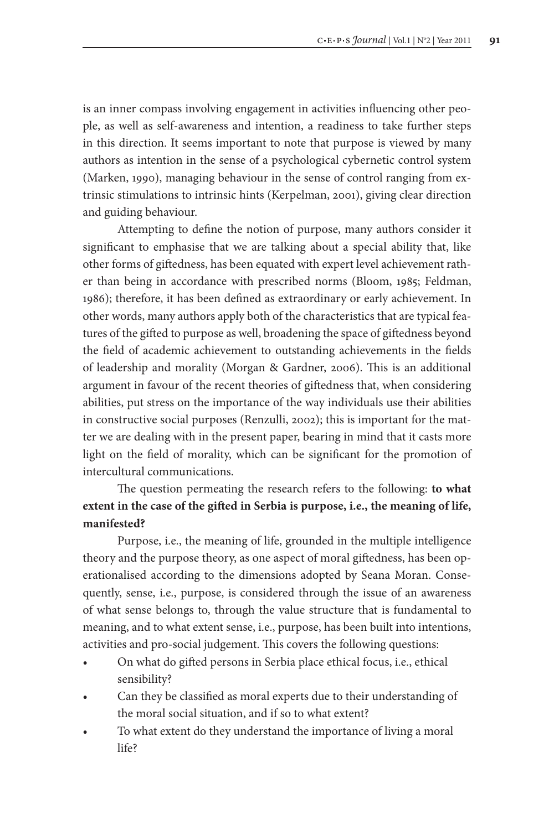is an inner compass involving engagement in activities influencing other people, as well as self-awareness and intention, a readiness to take further steps in this direction. It seems important to note that purpose is viewed by many authors as intention in the sense of a psychological cybernetic control system (Marken, 1990), managing behaviour in the sense of control ranging from extrinsic stimulations to intrinsic hints (Kerpelman, 2001), giving clear direction and guiding behaviour.

Attempting to define the notion of purpose, many authors consider it significant to emphasise that we are talking about a special ability that, like other forms of giftedness, has been equated with expert level achievement rather than being in accordance with prescribed norms (Bloom, 1985; Feldman, 1986); therefore, it has been defined as extraordinary or early achievement. In other words, many authors apply both of the characteristics that are typical features of the gifted to purpose as well, broadening the space of giftedness beyond the field of academic achievement to outstanding achievements in the fields of leadership and morality (Morgan & Gardner, 2006). This is an additional argument in favour of the recent theories of giftedness that, when considering abilities, put stress on the importance of the way individuals use their abilities in constructive social purposes (Renzulli, 2002); this is important for the matter we are dealing with in the present paper, bearing in mind that it casts more light on the field of morality, which can be significant for the promotion of intercultural communications.

# The question permeating the research refers to the following: **to what extent in the case of the gifted in Serbia is purpose, i.e., the meaning of life, manifested?**

Purpose, i.e., the meaning of life, grounded in the multiple intelligence theory and the purpose theory, as one aspect of moral giftedness, has been operationalised according to the dimensions adopted by Seana Moran. Consequently, sense, i.e., purpose, is considered through the issue of an awareness of what sense belongs to, through the value structure that is fundamental to meaning, and to what extent sense, i.e., purpose, has been built into intentions, activities and pro-social judgement. This covers the following questions:

- On what do gifted persons in Serbia place ethical focus, i.e., ethical sensibility?
- Can they be classified as moral experts due to their understanding of the moral social situation, and if so to what extent?
- To what extent do they understand the importance of living a moral life?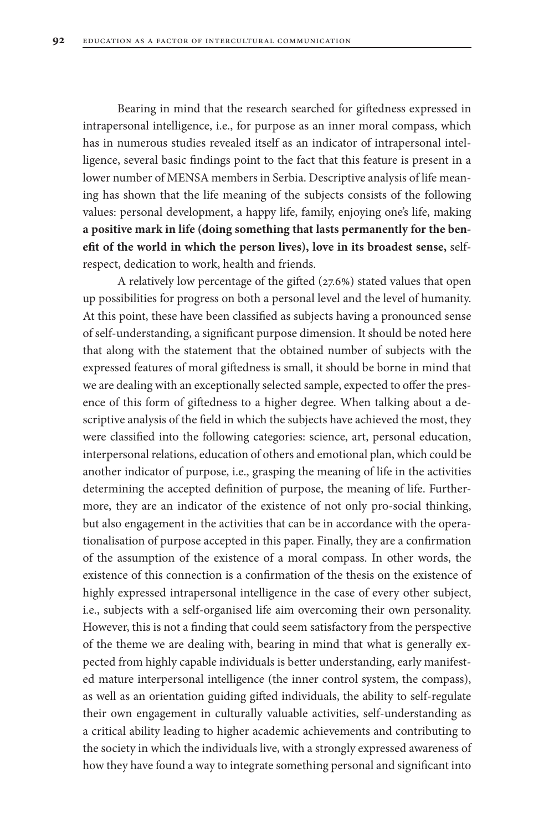Bearing in mind that the research searched for giftedness expressed in intrapersonal intelligence, i.e., for purpose as an inner moral compass, which has in numerous studies revealed itself as an indicator of intrapersonal intelligence, several basic findings point to the fact that this feature is present in a lower number of MENSA members in Serbia. Descriptive analysis of life meaning has shown that the life meaning of the subjects consists of the following values: personal development, a happy life, family, enjoying one's life, making **a positive mark in life (doing something that lasts permanently for the benefit of the world in which the person lives), love in its broadest sense,** selfrespect, dedication to work, health and friends.

A relatively low percentage of the gifted (27.6%) stated values that open up possibilities for progress on both a personal level and the level of humanity. At this point, these have been classified as subjects having a pronounced sense of self-understanding, a significant purpose dimension. It should be noted here that along with the statement that the obtained number of subjects with the expressed features of moral giftedness is small, it should be borne in mind that we are dealing with an exceptionally selected sample, expected to offer the presence of this form of giftedness to a higher degree. When talking about a descriptive analysis of the field in which the subjects have achieved the most, they were classified into the following categories: science, art, personal education, interpersonal relations, education of others and emotional plan, which could be another indicator of purpose, i.e., grasping the meaning of life in the activities determining the accepted definition of purpose, the meaning of life. Furthermore, they are an indicator of the existence of not only pro-social thinking, but also engagement in the activities that can be in accordance with the operationalisation of purpose accepted in this paper. Finally, they are a confirmation of the assumption of the existence of a moral compass. In other words, the existence of this connection is a confirmation of the thesis on the existence of highly expressed intrapersonal intelligence in the case of every other subject, i.e., subjects with a self-organised life aim overcoming their own personality. However, this is not a finding that could seem satisfactory from the perspective of the theme we are dealing with, bearing in mind that what is generally expected from highly capable individuals is better understanding, early manifested mature interpersonal intelligence (the inner control system, the compass), as well as an orientation guiding gifted individuals, the ability to self-regulate their own engagement in culturally valuable activities, self-understanding as a critical ability leading to higher academic achievements and contributing to the society in which the individuals live, with a strongly expressed awareness of how they have found a way to integrate something personal and significant into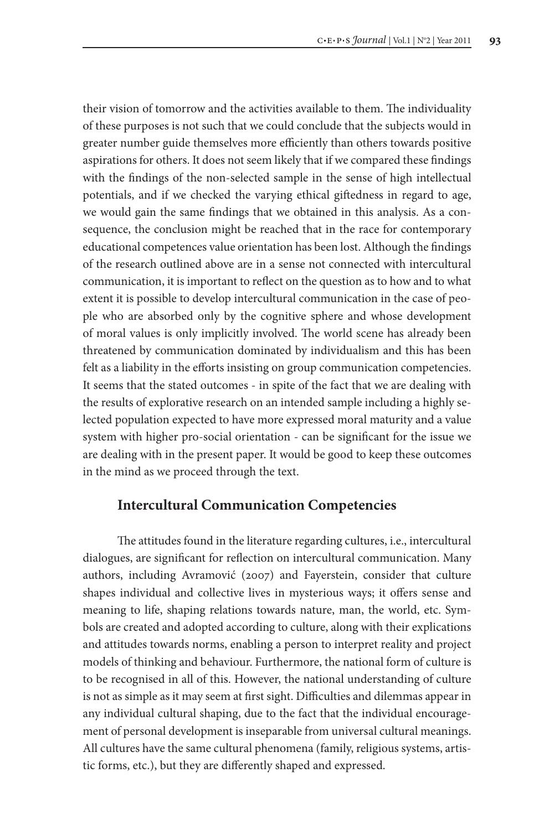their vision of tomorrow and the activities available to them. The individuality of these purposes is not such that we could conclude that the subjects would in greater number guide themselves more efficiently than others towards positive aspirations for others. It does not seem likely that if we compared these findings with the findings of the non-selected sample in the sense of high intellectual potentials, and if we checked the varying ethical giftedness in regard to age, we would gain the same findings that we obtained in this analysis. As a consequence, the conclusion might be reached that in the race for contemporary educational competences value orientation has been lost. Although the findings of the research outlined above are in a sense not connected with intercultural communication, it is important to reflect on the question as to how and to what extent it is possible to develop intercultural communication in the case of people who are absorbed only by the cognitive sphere and whose development of moral values is only implicitly involved. The world scene has already been threatened by communication dominated by individualism and this has been felt as a liability in the efforts insisting on group communication competencies. It seems that the stated outcomes - in spite of the fact that we are dealing with the results of explorative research on an intended sample including a highly selected population expected to have more expressed moral maturity and a value system with higher pro-social orientation - can be significant for the issue we are dealing with in the present paper. It would be good to keep these outcomes in the mind as we proceed through the text.

## **Intercultural Communication Competencies**

The attitudes found in the literature regarding cultures, i.e., intercultural dialogues, are significant for reflection on intercultural communication. Many authors, including Avramović (2007) and Fayerstein, consider that culture shapes individual and collective lives in mysterious ways; it offers sense and meaning to life, shaping relations towards nature, man, the world, etc. Symbols are created and adopted according to culture, along with their explications and attitudes towards norms, enabling a person to interpret reality and project models of thinking and behaviour. Furthermore, the national form of culture is to be recognised in all of this. However, the national understanding of culture is not as simple as it may seem at first sight. Difficulties and dilemmas appear in any individual cultural shaping, due to the fact that the individual encouragement of personal development is inseparable from universal cultural meanings. All cultures have the same cultural phenomena (family, religious systems, artistic forms, etc.), but they are differently shaped and expressed.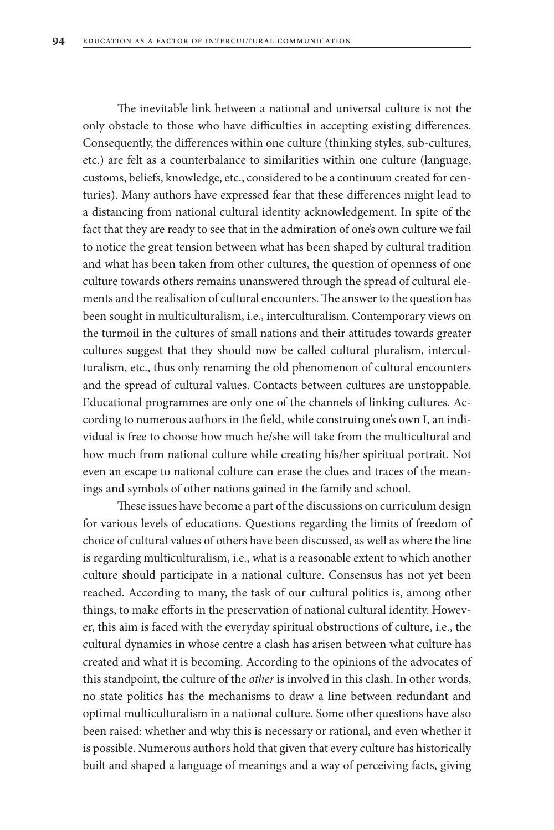The inevitable link between a national and universal culture is not the only obstacle to those who have difficulties in accepting existing differences. Consequently, the differences within one culture (thinking styles, sub-cultures, etc.) are felt as a counterbalance to similarities within one culture (language, customs, beliefs, knowledge, etc., considered to be a continuum created for centuries). Many authors have expressed fear that these differences might lead to a distancing from national cultural identity acknowledgement. In spite of the fact that they are ready to see that in the admiration of one's own culture we fail to notice the great tension between what has been shaped by cultural tradition and what has been taken from other cultures, the question of openness of one culture towards others remains unanswered through the spread of cultural elements and the realisation of cultural encounters. The answer to the question has been sought in multiculturalism, i.e., interculturalism. Contemporary views on the turmoil in the cultures of small nations and their attitudes towards greater cultures suggest that they should now be called cultural pluralism, interculturalism, etc., thus only renaming the old phenomenon of cultural encounters and the spread of cultural values. Contacts between cultures are unstoppable. Educational programmes are only one of the channels of linking cultures. According to numerous authors in the field, while construing one's own I, an individual is free to choose how much he/she will take from the multicultural and how much from national culture while creating his/her spiritual portrait. Not even an escape to national culture can erase the clues and traces of the meanings and symbols of other nations gained in the family and school.

These issues have become a part of the discussions on curriculum design for various levels of educations. Questions regarding the limits of freedom of choice of cultural values of others have been discussed, as well as where the line is regarding multiculturalism, i.e., what is a reasonable extent to which another culture should participate in a national culture. Consensus has not yet been reached. According to many, the task of our cultural politics is, among other things, to make efforts in the preservation of national cultural identity. However, this aim is faced with the everyday spiritual obstructions of culture, i.e., the cultural dynamics in whose centre a clash has arisen between what culture has created and what it is becoming. According to the opinions of the advocates of this standpoint, the culture of the *other* is involved in this clash. In other words, no state politics has the mechanisms to draw a line between redundant and optimal multiculturalism in a national culture. Some other questions have also been raised: whether and why this is necessary or rational, and even whether it is possible. Numerous authors hold that given that every culture has historically built and shaped a language of meanings and a way of perceiving facts, giving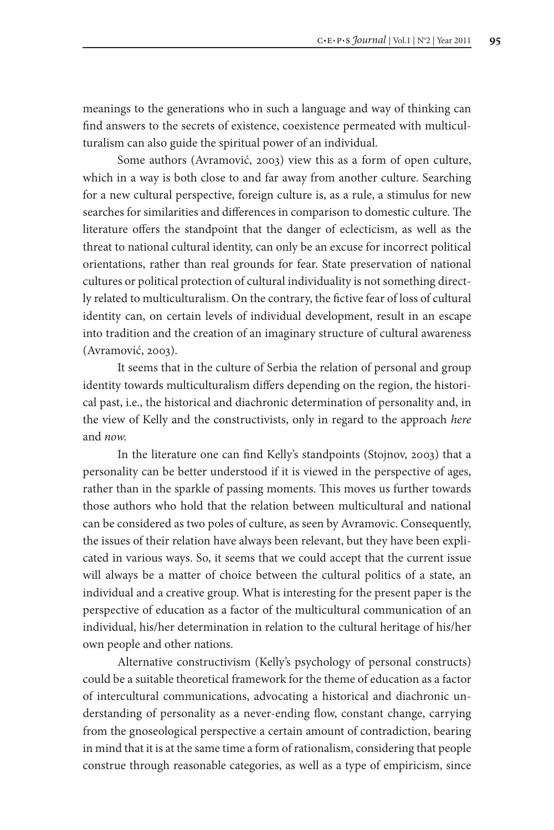meanings to the generations who in such a language and way of thinking can find answers to the secrets of existence, coexistence permeated with multiculturalism can also guide the spiritual power of an individual.

Some authors (Avramović, 2003) view this as a form of open culture, which in a way is both close to and far away from another culture. Searching for a new cultural perspective, foreign culture is, as a rule, a stimulus for new searches for similarities and differences in comparison to domestic culture. The literature offers the standpoint that the danger of eclecticism, as well as the threat to national cultural identity, can only be an excuse for incorrect political orientations, rather than real grounds for fear. State preservation of national cultures or political protection of cultural individuality is not something directly related to multiculturalism. On the contrary, the fictive fear of loss of cultural identity can, on certain levels of individual development, result in an escape into tradition and the creation of an imaginary structure of cultural awareness (Avramović, 2003).

It seems that in the culture of Serbia the relation of personal and group identity towards multiculturalism differs depending on the region, the historical past, i.e., the historical and diachronic determination of personality and, in the view of Kelly and the constructivists, only in regard to the approach *here*  and *now.* 

In the literature one can find Kelly's standpoints (Stojnov, 2003) that a personality can be better understood if it is viewed in the perspective of ages, rather than in the sparkle of passing moments. This moves us further towards those authors who hold that the relation between multicultural and national can be considered as two poles of culture, as seen by Avramovic. Consequently, the issues of their relation have always been relevant, but they have been explicated in various ways. So, it seems that we could accept that the current issue will always be a matter of choice between the cultural politics of a state, an individual and a creative group. What is interesting for the present paper is the perspective of education as a factor of the multicultural communication of an individual, his/her determination in relation to the cultural heritage of his/her own people and other nations.

Alternative constructivism (Kelly's psychology of personal constructs) could be a suitable theoretical framework for the theme of education as a factor of intercultural communications, advocating a historical and diachronic understanding of personality as a never-ending flow, constant change, carrying from the gnoseological perspective a certain amount of contradiction, bearing in mind that it is at the same time a form of rationalism, considering that people construe through reasonable categories, as well as a type of empiricism, since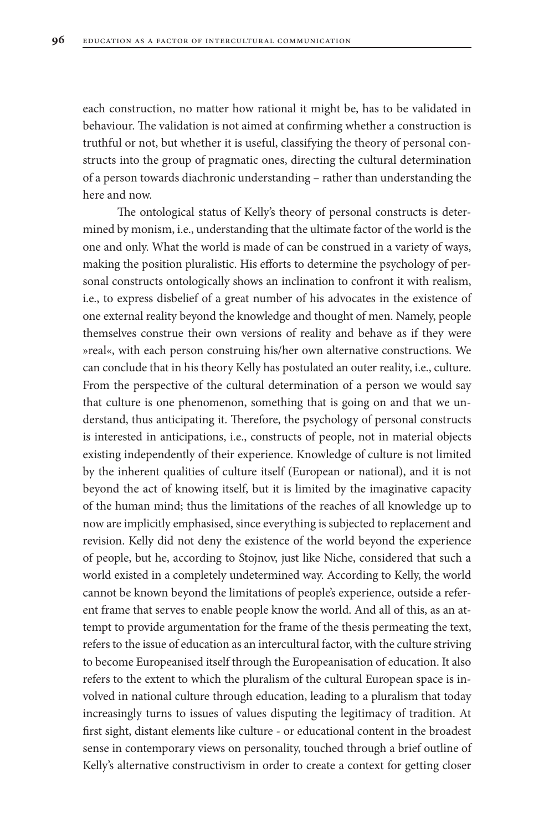each construction, no matter how rational it might be, has to be validated in behaviour. The validation is not aimed at confirming whether a construction is truthful or not, but whether it is useful, classifying the theory of personal constructs into the group of pragmatic ones, directing the cultural determination of a person towards diachronic understanding – rather than understanding the here and now.

The ontological status of Kelly's theory of personal constructs is determined by monism, i.e., understanding that the ultimate factor of the world is the one and only. What the world is made of can be construed in a variety of ways, making the position pluralistic. His efforts to determine the psychology of personal constructs ontologically shows an inclination to confront it with realism, i.e., to express disbelief of a great number of his advocates in the existence of one external reality beyond the knowledge and thought of men. Namely, people themselves construe their own versions of reality and behave as if they were »real«, with each person construing his/her own alternative constructions. We can conclude that in his theory Kelly has postulated an outer reality, i.e., culture. From the perspective of the cultural determination of a person we would say that culture is one phenomenon, something that is going on and that we understand, thus anticipating it. Therefore, the psychology of personal constructs is interested in anticipations, i.e., constructs of people, not in material objects existing independently of their experience. Knowledge of culture is not limited by the inherent qualities of culture itself (European or national), and it is not beyond the act of knowing itself, but it is limited by the imaginative capacity of the human mind; thus the limitations of the reaches of all knowledge up to now are implicitly emphasised, since everything is subjected to replacement and revision. Kelly did not deny the existence of the world beyond the experience of people, but he, according to Stojnov, just like Niche, considered that such a world existed in a completely undetermined way. According to Kelly, the world cannot be known beyond the limitations of people's experience, outside a referent frame that serves to enable people know the world. And all of this, as an attempt to provide argumentation for the frame of the thesis permeating the text, refers to the issue of education as an intercultural factor, with the culture striving to become Europeanised itself through the Europeanisation of education. It also refers to the extent to which the pluralism of the cultural European space is involved in national culture through education, leading to a pluralism that today increasingly turns to issues of values disputing the legitimacy of tradition. At first sight, distant elements like culture - or educational content in the broadest sense in contemporary views on personality, touched through a brief outline of Kelly's alternative constructivism in order to create a context for getting closer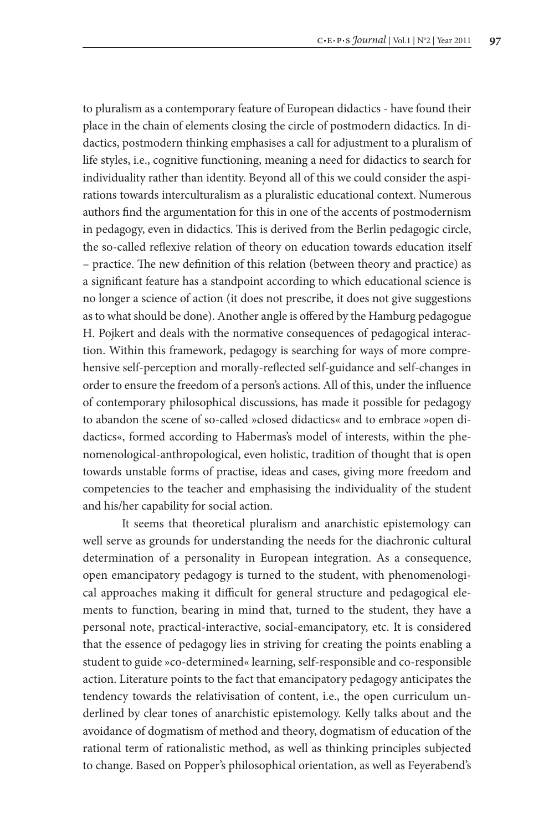to pluralism as a contemporary feature of European didactics - have found their place in the chain of elements closing the circle of postmodern didactics. In didactics, postmodern thinking emphasises a call for adjustment to a pluralism of life styles, i.e., cognitive functioning, meaning a need for didactics to search for individuality rather than identity. Beyond all of this we could consider the aspirations towards interculturalism as a pluralistic educational context. Numerous authors find the argumentation for this in one of the accents of postmodernism in pedagogy, even in didactics. This is derived from the Berlin pedagogic circle, the so-called reflexive relation of theory on education towards education itself – practice. The new definition of this relation (between theory and practice) as a significant feature has a standpoint according to which educational science is no longer a science of action (it does not prescribe, it does not give suggestions as to what should be done). Another angle is offered by the Hamburg pedagogue H. Pojkert and deals with the normative consequences of pedagogical interaction. Within this framework, pedagogy is searching for ways of more comprehensive self-perception and morally-reflected self-guidance and self-changes in order to ensure the freedom of a person's actions. All of this, under the influence of contemporary philosophical discussions, has made it possible for pedagogy to abandon the scene of so-called »closed didactics« and to embrace »open didactics«, formed according to Habermas's model of interests, within the phenomenological-anthropological, even holistic, tradition of thought that is open towards unstable forms of practise, ideas and cases, giving more freedom and competencies to the teacher and emphasising the individuality of the student and his/her capability for social action.

 It seems that theoretical pluralism and anarchistic epistemology can well serve as grounds for understanding the needs for the diachronic cultural determination of a personality in European integration. As a consequence, open emancipatory pedagogy is turned to the student, with phenomenological approaches making it difficult for general structure and pedagogical elements to function, bearing in mind that, turned to the student, they have a personal note, practical-interactive, social-emancipatory, etc. It is considered that the essence of pedagogy lies in striving for creating the points enabling a student to guide »co-determined« learning, self-responsible and co-responsible action. Literature points to the fact that emancipatory pedagogy anticipates the tendency towards the relativisation of content, i.e., the open curriculum underlined by clear tones of anarchistic epistemology. Kelly talks about and the avoidance of dogmatism of method and theory, dogmatism of education of the rational term of rationalistic method, as well as thinking principles subjected to change. Based on Popper's philosophical orientation, as well as Feyerabend's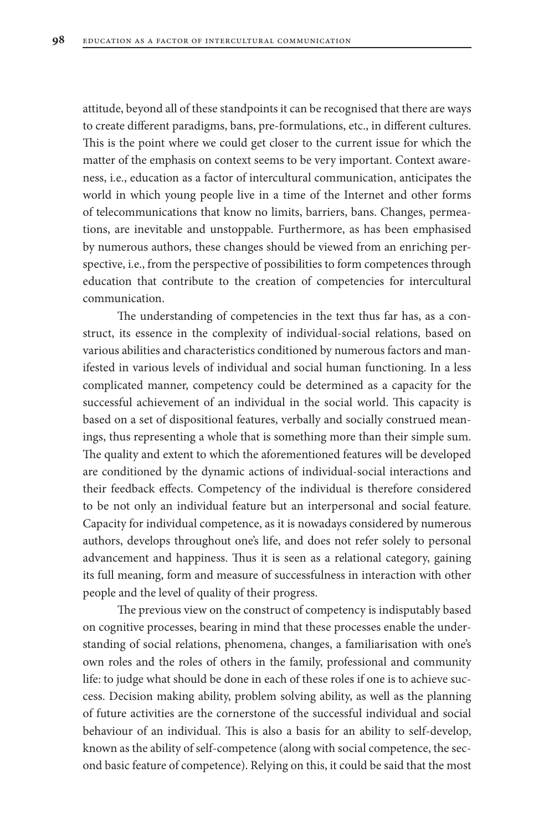attitude, beyond all of these standpoints it can be recognised that there are ways to create different paradigms, bans, pre-formulations, etc., in different cultures. This is the point where we could get closer to the current issue for which the matter of the emphasis on context seems to be very important. Context awareness, i.e., education as a factor of intercultural communication, anticipates the world in which young people live in a time of the Internet and other forms of telecommunications that know no limits, barriers, bans. Changes, permeations, are inevitable and unstoppable. Furthermore, as has been emphasised by numerous authors, these changes should be viewed from an enriching perspective, i.e., from the perspective of possibilities to form competences through education that contribute to the creation of competencies for intercultural communication.

The understanding of competencies in the text thus far has, as a construct, its essence in the complexity of individual-social relations, based on various abilities and characteristics conditioned by numerous factors and manifested in various levels of individual and social human functioning. In a less complicated manner, competency could be determined as a capacity for the successful achievement of an individual in the social world. This capacity is based on a set of dispositional features, verbally and socially construed meanings, thus representing a whole that is something more than their simple sum. The quality and extent to which the aforementioned features will be developed are conditioned by the dynamic actions of individual-social interactions and their feedback effects. Competency of the individual is therefore considered to be not only an individual feature but an interpersonal and social feature. Capacity for individual competence, as it is nowadays considered by numerous authors, develops throughout one's life, and does not refer solely to personal advancement and happiness. Thus it is seen as a relational category, gaining its full meaning, form and measure of successfulness in interaction with other people and the level of quality of their progress.

The previous view on the construct of competency is indisputably based on cognitive processes, bearing in mind that these processes enable the understanding of social relations, phenomena, changes, a familiarisation with one's own roles and the roles of others in the family, professional and community life: to judge what should be done in each of these roles if one is to achieve success. Decision making ability, problem solving ability, as well as the planning of future activities are the cornerstone of the successful individual and social behaviour of an individual. This is also a basis for an ability to self-develop, known as the ability of self-competence (along with social competence, the second basic feature of competence). Relying on this, it could be said that the most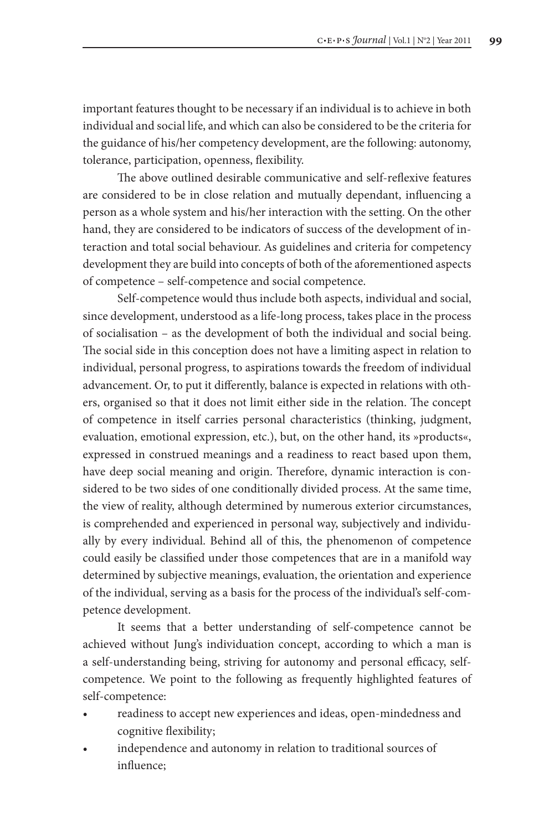important features thought to be necessary if an individual is to achieve in both individual and social life, and which can also be considered to be the criteria for the guidance of his/her competency development, are the following: autonomy, tolerance, participation, openness, flexibility.

The above outlined desirable communicative and self-reflexive features are considered to be in close relation and mutually dependant, influencing a person as a whole system and his/her interaction with the setting. On the other hand, they are considered to be indicators of success of the development of interaction and total social behaviour. As guidelines and criteria for competency development they are build into concepts of both of the aforementioned aspects of competence – self-competence and social competence.

Self-competence would thus include both aspects, individual and social, since development, understood as a life-long process, takes place in the process of socialisation – as the development of both the individual and social being. The social side in this conception does not have a limiting aspect in relation to individual, personal progress, to aspirations towards the freedom of individual advancement. Or, to put it differently, balance is expected in relations with others, organised so that it does not limit either side in the relation. The concept of competence in itself carries personal characteristics (thinking, judgment, evaluation, emotional expression, etc.), but, on the other hand, its »products«, expressed in construed meanings and a readiness to react based upon them, have deep social meaning and origin. Therefore, dynamic interaction is considered to be two sides of one conditionally divided process. At the same time, the view of reality, although determined by numerous exterior circumstances, is comprehended and experienced in personal way, subjectively and individually by every individual. Behind all of this, the phenomenon of competence could easily be classified under those competences that are in a manifold way determined by subjective meanings, evaluation, the orientation and experience of the individual, serving as a basis for the process of the individual's self-competence development.

It seems that a better understanding of self-competence cannot be achieved without Jung's individuation concept, according to which a man is a self-understanding being, striving for autonomy and personal efficacy, selfcompetence. We point to the following as frequently highlighted features of self-competence:

- • readiness to accept new experiences and ideas, open-mindedness and cognitive flexibility;
- independence and autonomy in relation to traditional sources of influence;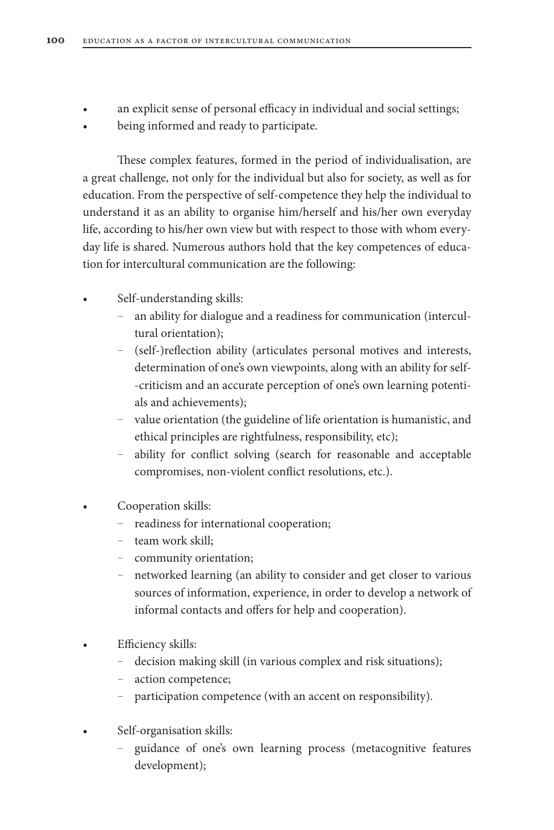- an explicit sense of personal efficacy in individual and social settings;
- being informed and ready to participate.

These complex features, formed in the period of individualisation, are a great challenge, not only for the individual but also for society, as well as for education. From the perspective of self-competence they help the individual to understand it as an ability to organise him/herself and his/her own everyday life, according to his/her own view but with respect to those with whom everyday life is shared. Numerous authors hold that the key competences of education for intercultural communication are the following:

- Self-understanding skills:
	- an ability for dialogue and a readiness for communication (intercultural orientation);
	- (self-)reflection ability (articulates personal motives and interests, determination of one's own viewpoints, along with an ability for self- -criticism and an accurate perception of one's own learning potentials and achievements);
	- value orientation (the guideline of life orientation is humanistic, and ethical principles are rightfulness, responsibility, etc);
	- ability for conflict solving (search for reasonable and acceptable compromises, non-violent conflict resolutions, etc.).
- Cooperation skills:
	- readiness for international cooperation;
	- team work skill;
	- community orientation;
	- networked learning (an ability to consider and get closer to various sources of information, experience, in order to develop a network of informal contacts and offers for help and cooperation).
- Efficiency skills:
	- decision making skill (in various complex and risk situations);
	- action competence;
	- participation competence (with an accent on responsibility).
- Self-organisation skills:
	- guidance of one's own learning process (metacognitive features development);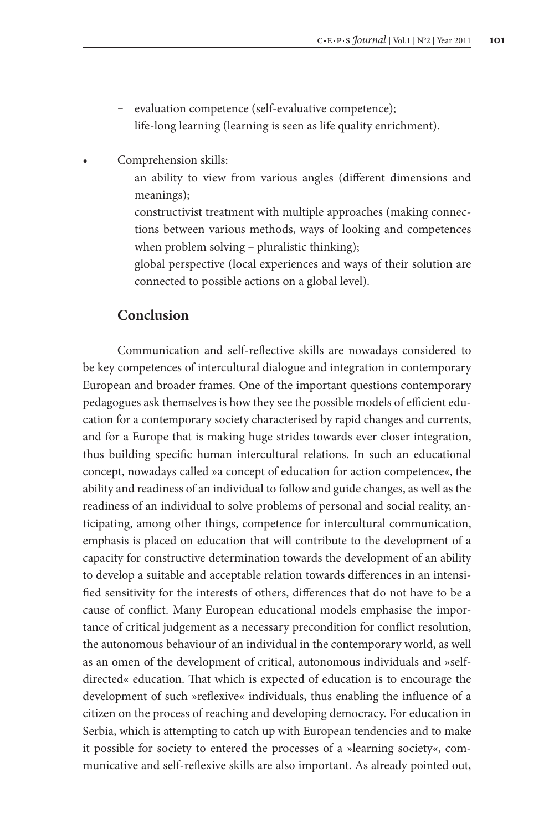- evaluation competence (self-evaluative competence);
- life-long learning (learning is seen as life quality enrichment).
- Comprehension skills:
	- an ability to view from various angles (different dimensions and meanings);
	- constructivist treatment with multiple approaches (making connections between various methods, ways of looking and competences when problem solving – pluralistic thinking);
	- global perspective (local experiences and ways of their solution are connected to possible actions on a global level).

## **Conclusion**

Communication and self-reflective skills are nowadays considered to be key competences of intercultural dialogue and integration in contemporary European and broader frames. One of the important questions contemporary pedagogues ask themselves is how they see the possible models of efficient education for a contemporary society characterised by rapid changes and currents, and for a Europe that is making huge strides towards ever closer integration, thus building specific human intercultural relations. In such an educational concept, nowadays called »a concept of education for action competence«, the ability and readiness of an individual to follow and guide changes, as well as the readiness of an individual to solve problems of personal and social reality, anticipating, among other things, competence for intercultural communication, emphasis is placed on education that will contribute to the development of a capacity for constructive determination towards the development of an ability to develop a suitable and acceptable relation towards differences in an intensified sensitivity for the interests of others, differences that do not have to be a cause of conflict. Many European educational models emphasise the importance of critical judgement as a necessary precondition for conflict resolution, the autonomous behaviour of an individual in the contemporary world, as well as an omen of the development of critical, autonomous individuals and »selfdirected« education. That which is expected of education is to encourage the development of such »reflexive« individuals, thus enabling the influence of a citizen on the process of reaching and developing democracy. For education in Serbia, which is attempting to catch up with European tendencies and to make it possible for society to entered the processes of a »learning society«, communicative and self-reflexive skills are also important. As already pointed out,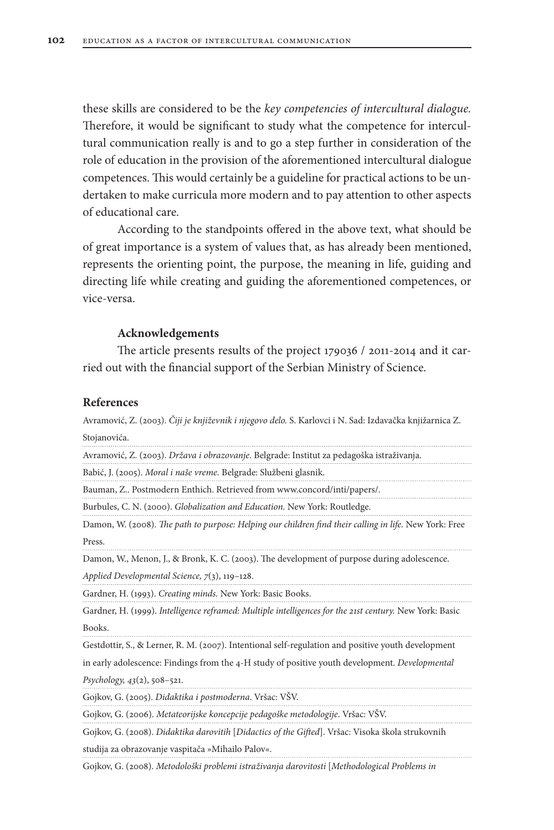these skills are considered to be the *key competencies of intercultural dialogue.*  Therefore, it would be significant to study what the competence for intercultural communication really is and to go a step further in consideration of the role of education in the provision of the aforementioned intercultural dialogue competences. This would certainly be a guideline for practical actions to be undertaken to make curricula more modern and to pay attention to other aspects of educational care.

According to the standpoints offered in the above text, what should be of great importance is a system of values that, as has already been mentioned, represents the orienting point, the purpose, the meaning in life, guiding and directing life while creating and guiding the aforementioned competences, or vice-versa.

## **Acknowledgements**

The article presents results of the project 179036 / 2011-2014 and it carried out with the financial support of the Serbian Ministry of Science.

## **References**

Avramović, Z. (2003). *Čiji je književnik i njegovo delo.* S. Karlovci i N. Sad: Izdavačka knjižarnica Z. Stojanovića.

Gojkov, G. (2008). *Didaktika darovitih* [*Didactics of the Gifted*]. Vršac: Visoka škola strukovnih studija za obrazovanje vaspitača »Mihailo Palov«.

Gojkov, G. (2008). *Metodološki problemi istraživanja darovitosti* [*Methodological Problems in*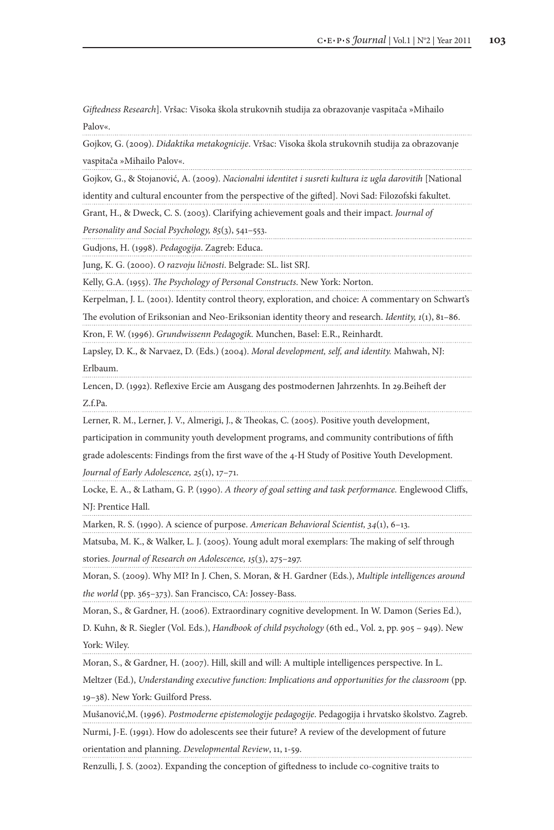*Giftedness Research*]. Vršac: Visoka škola strukovnih studija za obrazovanje vaspitača »Mihailo Palov«.

Gojkov, G. (2009). *Didaktika metakognicije*. Vršac: Visoka škola strukovnih studija za obrazovanje vaspitača »Mihailo Palov«.

Gojkov, G., & Stojanović, A. (2009). *Nacionalni identitet i susreti kultura iz ugla darovitih* [National identity and cultural encounter from the perspective of the gifted]. Novi Sad: Filozofski fakultet.

Grant, H., & Dweck, C. S. (2003). Clarifying achievement goals and their impact. *Journal of* 

*Personality and Social Psychology, 85*(3), 541–553.

Gudjons, H. (1998). *Pedagogija*. Zagreb: Educa.

Jung, K. G. (2000). *O razvoju ličnosti*. Belgrade: SL. list SRJ.

Kelly, G.A. (1955). *The Psychology of Personal Constructs*. New York: Norton.

Kerpelman, J. L. (2001). Identity control theory, exploration, and choice: A commentary on Schwart's

The evolution of Eriksonian and Neo-Eriksonian identity theory and research. *Identity, 1*(1), 81–86. Kron, F. W. (1996). *Grundwissenn Pedagogik.* Munchen, Basel: E.R., Reinhardt.

Lapsley, D. K., & Narvaez, D. (Eds.) (2004). *Moral development, self, and identity.* Mahwah, NJ: Erlbaum.

Lencen, D. (1992). Reflexive Ercie am Ausgang des postmodernen Jahrzenhts. In 29.Beiheft der Z.f.Pa.

Lerner, R. M., Lerner, J. V., Almerigi, J., & Theokas, C. (2005). Positive youth development,

participation in community youth development programs, and community contributions of fifth

grade adolescents: Findings from the first wave of the 4-H Study of Positive Youth Development.

*Journal of Early Adolescence, 25*(1), 17–71.

Locke, E. A., & Latham, G. P. (1990). *A theory of goal setting and task performance.* Englewood Cliffs, NJ: Prentice Hall.

Marken, R. S. (1990). A science of purpose. *American Behavioral Scientist, 34*(1), 6–13.

Matsuba, M. K., & Walker, L. J. (2005). Young adult moral exemplars: The making of self through stories. *Journal of Research on Adolescence, 15*(3), 275–297.

Moran, S. (2009). Why MI? In J. Chen, S. Moran, & H. Gardner (Eds.), *Multiple intelligences around the world* (pp. 365–373). San Francisco, CA: Jossey-Bass.

Moran, S., & Gardner, H. (2006). Extraordinary cognitive development. In W. Damon (Series Ed.),

D. Kuhn, & R. Siegler (Vol. Eds.), *Handbook of child psychology* (6th ed., Vol. 2, pp. 905 – 949). New York: Wiley.

Moran, S., & Gardner, H. (2007). Hill, skill and will: A multiple intelligences perspective. In L.

Meltzer (Ed.), *Understanding executive function: Implications and opportunities for the classroom* (pp. 19–38). New York: Guilford Press.

Mušanović,M. (1996). *Postmoderne epistemologije pedagogije*. Pedagogija i hrvatsko školstvo. Zagreb.

Nurmi, J-E. (1991). How do adolescents see their future? A review of the development of future orientation and planning. *Developmental Review*, 11, 1-59.

Renzulli, J. S. (2002). Expanding the conception of giftedness to include co-cognitive traits to